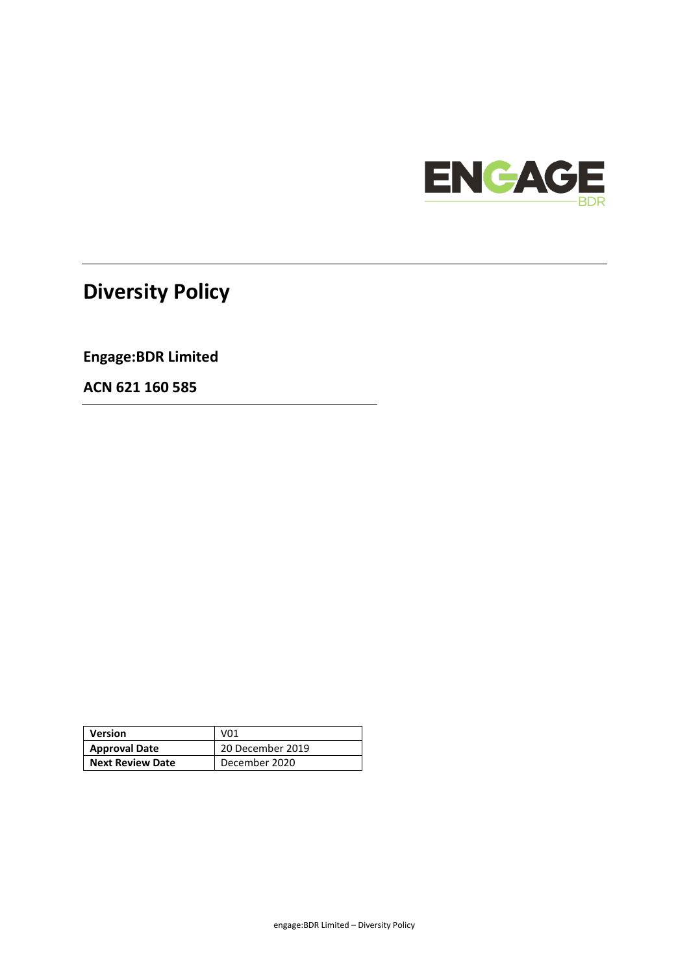

# **Diversity Policy**

**Engage:BDR Limited**

**ACN 621 160 585**

| <b>Version</b>          | V01              |
|-------------------------|------------------|
| <b>Approval Date</b>    | 20 December 2019 |
| <b>Next Review Date</b> | December 2020    |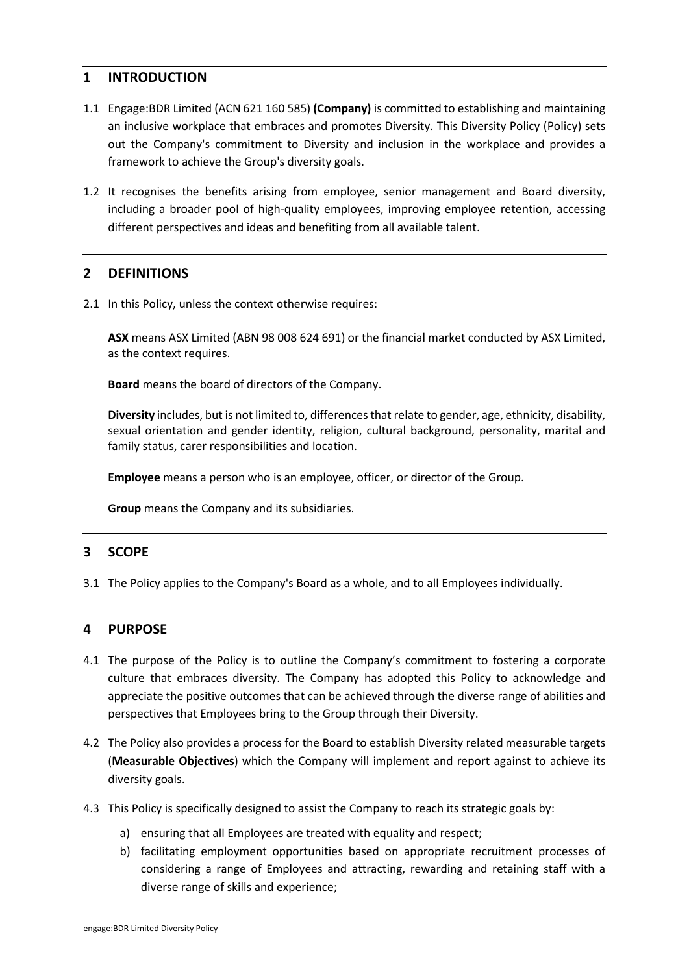# **1 INTRODUCTION**

- 1.1 Engage:BDR Limited (ACN 621 160 585) **(Company)** is committed to establishing and maintaining an inclusive workplace that embraces and promotes Diversity. This Diversity Policy (Policy) sets out the Company's commitment to Diversity and inclusion in the workplace and provides a framework to achieve the Group's diversity goals.
- 1.2 It recognises the benefits arising from employee, senior management and Board diversity, including a broader pool of high-quality employees, improving employee retention, accessing different perspectives and ideas and benefiting from all available talent.

# **2 DEFINITIONS**

2.1 In this Policy, unless the context otherwise requires:

**ASX** means ASX Limited (ABN 98 008 624 691) or the financial market conducted by ASX Limited, as the context requires.

**Board** means the board of directors of the Company.

**Diversity** includes, but is not limited to, differences that relate to gender, age, ethnicity, disability, sexual orientation and gender identity, religion, cultural background, personality, marital and family status, carer responsibilities and location.

**Employee** means a person who is an employee, officer, or director of the Group.

**Group** means the Company and its subsidiaries.

## **3 SCOPE**

3.1 The Policy applies to the Company's Board as a whole, and to all Employees individually.

## **4 PURPOSE**

- 4.1 The purpose of the Policy is to outline the Company's commitment to fostering a corporate culture that embraces diversity. The Company has adopted this Policy to acknowledge and appreciate the positive outcomes that can be achieved through the diverse range of abilities and perspectives that Employees bring to the Group through their Diversity.
- 4.2 The Policy also provides a process for the Board to establish Diversity related measurable targets (**Measurable Objectives**) which the Company will implement and report against to achieve its diversity goals.
- 4.3 This Policy is specifically designed to assist the Company to reach its strategic goals by:
	- a) ensuring that all Employees are treated with equality and respect;
	- b) facilitating employment opportunities based on appropriate recruitment processes of considering a range of Employees and attracting, rewarding and retaining staff with a diverse range of skills and experience;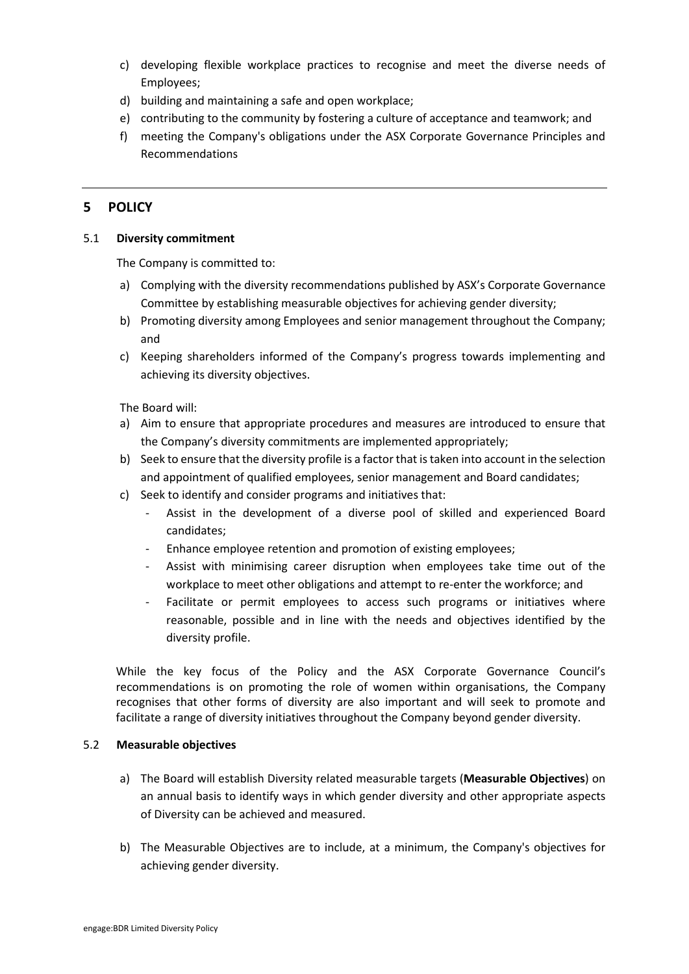- c) developing flexible workplace practices to recognise and meet the diverse needs of Employees;
- d) building and maintaining a safe and open workplace;
- e) contributing to the community by fostering a culture of acceptance and teamwork; and
- f) meeting the Company's obligations under the ASX Corporate Governance Principles and Recommendations

# **5 POLICY**

#### 5.1 **Diversity commitment**

The Company is committed to:

- a) Complying with the diversity recommendations published by ASX's Corporate Governance Committee by establishing measurable objectives for achieving gender diversity;
- b) Promoting diversity among Employees and senior management throughout the Company; and
- c) Keeping shareholders informed of the Company's progress towards implementing and achieving its diversity objectives.

The Board will:

- a) Aim to ensure that appropriate procedures and measures are introduced to ensure that the Company's diversity commitments are implemented appropriately;
- b) Seek to ensure that the diversity profile is a factor that is taken into account in the selection and appointment of qualified employees, senior management and Board candidates;
- c) Seek to identify and consider programs and initiatives that:
	- Assist in the development of a diverse pool of skilled and experienced Board candidates;
	- Enhance employee retention and promotion of existing employees;
	- Assist with minimising career disruption when employees take time out of the workplace to meet other obligations and attempt to re-enter the workforce; and
	- Facilitate or permit employees to access such programs or initiatives where reasonable, possible and in line with the needs and objectives identified by the diversity profile.

While the key focus of the Policy and the ASX Corporate Governance Council's recommendations is on promoting the role of women within organisations, the Company recognises that other forms of diversity are also important and will seek to promote and facilitate a range of diversity initiatives throughout the Company beyond gender diversity.

#### 5.2 **Measurable objectives**

- a) The Board will establish Diversity related measurable targets (**Measurable Objectives**) on an annual basis to identify ways in which gender diversity and other appropriate aspects of Diversity can be achieved and measured.
- b) The Measurable Objectives are to include, at a minimum, the Company's objectives for achieving gender diversity.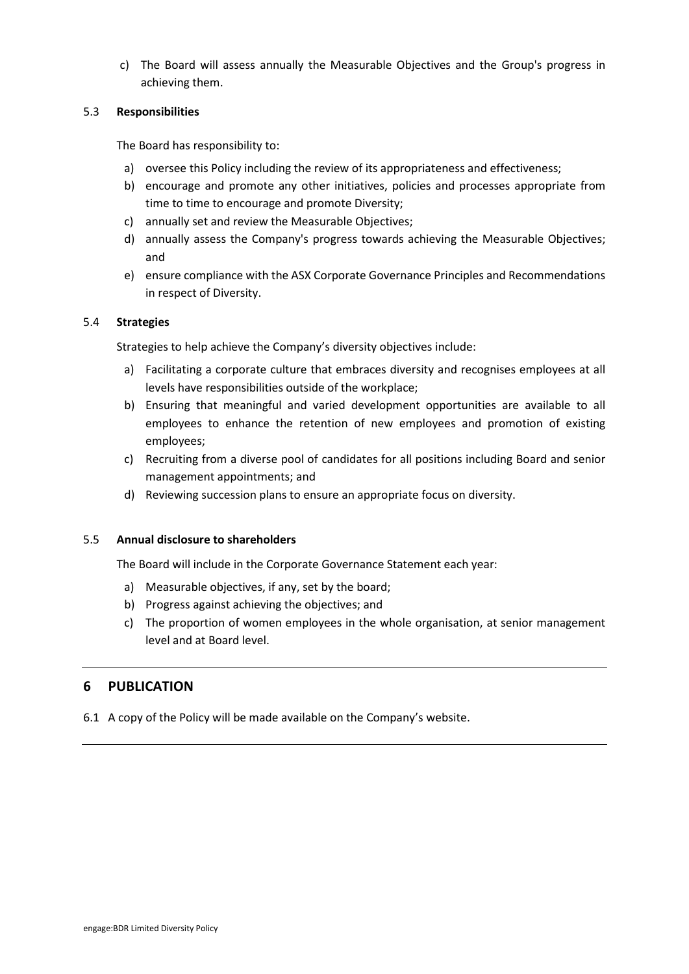c) The Board will assess annually the Measurable Objectives and the Group's progress in achieving them.

#### 5.3 **Responsibilities**

The Board has responsibility to:

- a) oversee this Policy including the review of its appropriateness and effectiveness;
- b) encourage and promote any other initiatives, policies and processes appropriate from time to time to encourage and promote Diversity;
- c) annually set and review the Measurable Objectives;
- d) annually assess the Company's progress towards achieving the Measurable Objectives; and
- e) ensure compliance with the ASX Corporate Governance Principles and Recommendations in respect of Diversity.

#### 5.4 **Strategies**

Strategies to help achieve the Company's diversity objectives include:

- a) Facilitating a corporate culture that embraces diversity and recognises employees at all levels have responsibilities outside of the workplace;
- b) Ensuring that meaningful and varied development opportunities are available to all employees to enhance the retention of new employees and promotion of existing employees;
- c) Recruiting from a diverse pool of candidates for all positions including Board and senior management appointments; and
- d) Reviewing succession plans to ensure an appropriate focus on diversity.

#### 5.5 **Annual disclosure to shareholders**

The Board will include in the Corporate Governance Statement each year:

- a) Measurable objectives, if any, set by the board;
- b) Progress against achieving the objectives; and
- c) The proportion of women employees in the whole organisation, at senior management level and at Board level.

# **6 PUBLICATION**

6.1 A copy of the Policy will be made available on the Company's website.